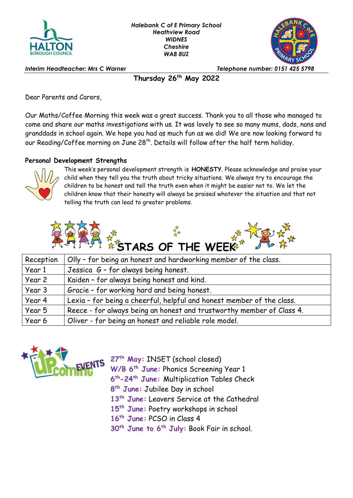



*Interim Headteacher: Mrs C Warner Telephone number: 0151 425 5798*

**Thursday 26th May 2022**

Dear Parents and Carers,

Our Maths/Coffee Morning this week was a great success. Thank you to all those who managed to come and share our maths investigations with us. It was lovely to see so many mums, dads, nans and granddads in school again. We hope you had as much fun as we did! We are now looking forward to our Reading/Coffee morning on June 28<sup>th</sup>. Details will follow after the half term holiday.

## **Personal Development Strengths**



This week's personal development strength is **HONESTY**. Please acknowledge and praise your child when they tell you the truth about tricky situations. We always try to encourage the children to be honest and tell the truth even when it might be easier not to. We let the children know that their honesty will always be praised whatever the situation and that not telling the truth can lead to greater problems.



| Reception | Olly - for being an honest and hardworking member of the class.       |
|-----------|-----------------------------------------------------------------------|
| Year 1    | Jessica G - for always being honest.                                  |
| Year 2    | Kaiden - for always being honest and kind.                            |
| Year 3    | Gracie - for working hard and being honest.                           |
| Year 4    | Lexia - for being a cheerful, helpful and honest member of the class. |
| Year 5    | Reece - for always being an honest and trustworthy member of Class 4. |
| Year 6    | Oliver - for being an honest and reliable role model.                 |



**W/B 6th June:** Phonics Screening Year 1 **th-24th June:** Multiplication Tables Check **th June:** Jubilee Day in school **th June:** Leavers Service at the Cathedral **th June:** Poetry workshops in school **th June:** PCSO in Class 4 **th June to 6th July:** Book Fair in school.

**27th May:** INSET (school closed)